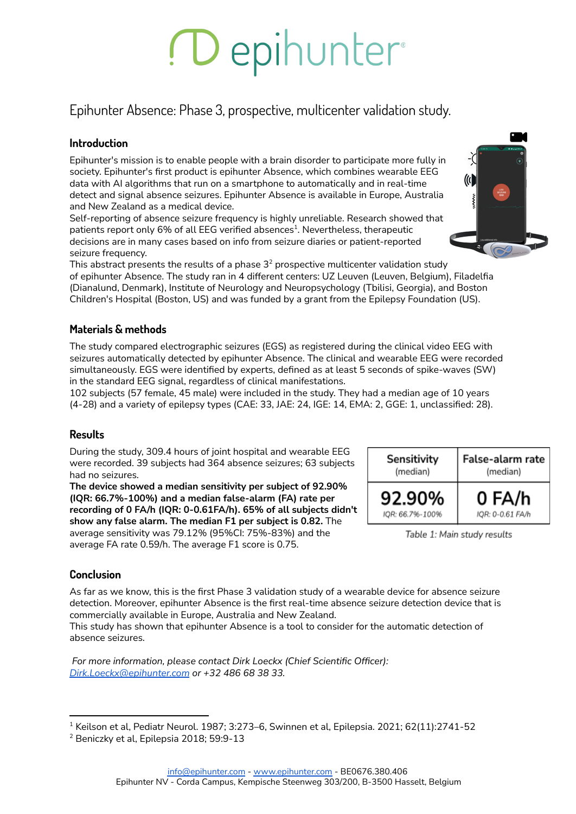# Depihunter

Epihunter Absence: Phase 3, prospective, multicenter validation study.

### **Introduction**

Epihunter's mission is to enable people with a brain disorder to participate more fully in society. Epihunter's first product is epihunter Absence, which combines wearable EEG data with AI algorithms that run on a smartphone to automatically and in real-time detect and signal absence seizures. Epihunter Absence is available in Europe, Australia and New Zealand as a medical device.

Self-reporting of absence seizure frequency is highly unreliable. Research showed that patients report only 6% of all EEG verified absences $^{\rm 1}$ . Nevertheless, therapeutic decisions are in many cases based on info from seizure diaries or patient-reported seizure frequency.

This abstract presents the results of a phase  $3^2$  prospective multicenter validation study of epihunter Absence. The study ran in 4 different centers: UZ Leuven (Leuven, Belgium), Filadelfia (Dianalund, Denmark), Institute of Neurology and Neuropsychology (Tbilisi, Georgia), and Boston Children's Hospital (Boston, US) and was funded by a grant from the Epilepsy Foundation (US).

## **Materials & methods**

The study compared electrographic seizures (EGS) as registered during the clinical video EEG with seizures automatically detected by epihunter Absence. The clinical and wearable EEG were recorded simultaneously. EGS were identified by experts, defined as at least 5 seconds of spike-waves (SW) in the standard EEG signal, regardless of clinical manifestations.

102 subjects (57 female, 45 male) were included in the study. They had a median age of 10 years (4-28) and a variety of epilepsy types (CAE: 33, JAE: 24, IGE: 14, EMA: 2, GGE: 1, unclassified: 28).

## **Results**

During the study, 309.4 hours of joint hospital and wearable EEG were recorded. 39 subjects had 364 absence seizures; 63 subjects had no seizures.

**The device showed a median sensitivity per subject of 92.90% (IQR: 66.7%-100%) and a median false-alarm (FA) rate per recording of 0 FA/h (IQR: 0-0.61FA/h). 65% of all subjects didn't show any false alarm. The median F1 per subject is 0.82.** The average sensitivity was 79.12% (95%CI: 75%-83%) and the average FA rate 0.59/h. The average F1 score is 0.75.



Table 1: Main study results

## **Conclusion**

As far as we know, this is the first Phase 3 validation study of a wearable device for absence seizure detection. Moreover, epihunter Absence is the first real-time absence seizure detection device that is commercially available in Europe, Australia and New Zealand.

This study has shown that epihunter Absence is a tool to consider for the automatic detection of absence seizures.

*For more information, please contact Dirk Loeckx (Chief Scientific Officer): [Dirk.Loeckx@epihunter.com](mailto:Dirk.Loeckx@epihunter.com) or +32 486 68 38 33.*



 $1$  Keilson et al, Pediatr Neurol. 1987; 3:273–6, Swinnen et al, Epilepsia. 2021; 62(11):2741-52

<sup>&</sup>lt;sup>2</sup> Beniczky et al, Epilepsia 2018; 59:9-13